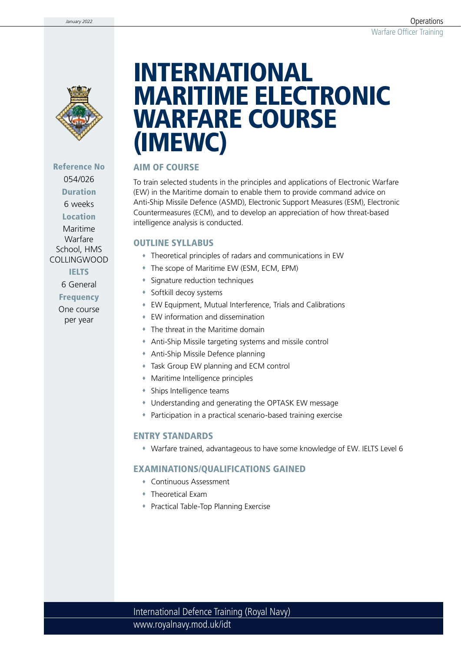

## Reference No 054/026 Duration

6 weeks

Location

Maritime Warfare School, HMS COLLINGWOOD

**IELTS** 

6 General

Frequency

One course per year

# INTERNATIONAL MARITIME ELECTRONIC WARFARE COURSE (IMEWC)

### AIM OF COURSE

To train selected students in the principles and applications of Electronic Warfare (EW) in the Maritime domain to enable them to provide command advice on Anti-Ship Missile Defence (ASMD), Electronic Support Measures (ESM), Electronic Countermeasures (ECM), and to develop an appreciation of how threat-based intelligence analysis is conducted.

#### OUTLINE SYLLABUS

- Theoretical principles of radars and communications in EW
- The scope of Maritime EW (ESM, ECM, EPM)
- Signature reduction techniques
- Softkill decoy systems
- EW Equipment, Mutual Interference, Trials and Calibrations
- EW information and dissemination
- The threat in the Maritime domain
- Anti-Ship Missile targeting systems and missile control
- Anti-Ship Missile Defence planning
- Task Group EW planning and ECM control
- Maritime Intelligence principles
- Ships Intelligence teams
- Understanding and generating the OPTASK EW message
- Participation in a practical scenario-based training exercise

### ENTRY STANDARDS

Warfare trained, advantageous to have some knowledge of EW. IELTS Level 6

## EXAMINATIONS/QUALIFICATIONS GAINED

- Continuous Assessment
- Theoretical Exam
- Practical Table-Top Planning Exercise